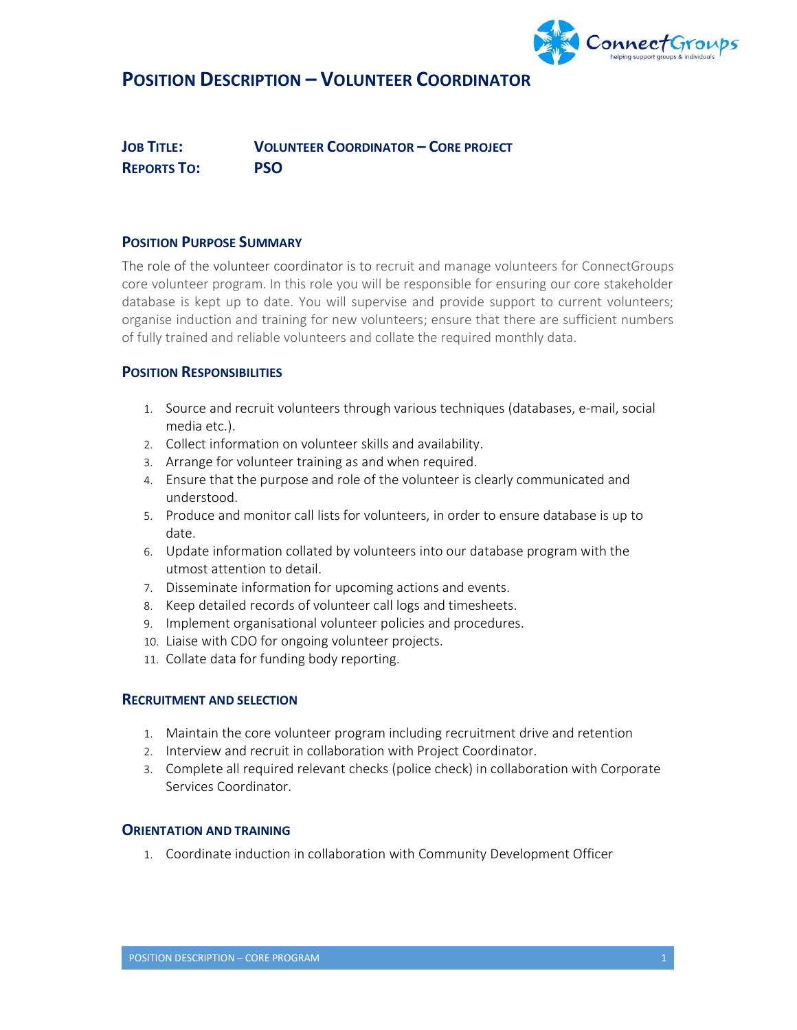

# POSITION DESCRIPTION – VOLUNTEER COORDINATOR

JOB TITLE: VOLUNTEER COORDINATOR – CORE PROJECT REPORTS TO: PSO

## POSITION PURPOSE SUMMARY

The role of the volunteer coordinator is to recruit and manage volunteers for ConnectGroups core volunteer program. In this role you will be responsible for ensuring our core stakeholder database is kept up to date. You will supervise and provide support to current volunteers; organise induction and training for new volunteers; ensure that there are sufficient numbers of fully trained and reliable volunteers and collate the required monthly data.

## POSITION RESPONSIBILITIES

- 1. Source and recruit volunteers through various techniques (databases, e-mail, social media etc.).
- 2. Collect information on volunteer skills and availability.
- 3. Arrange for volunteer training as and when required.
- 4. Ensure that the purpose and role of the volunteer is clearly communicated and understood.
- 5. Produce and monitor call lists for volunteers, in order to ensure database is up to date.
- 6. Update information collated by volunteers into our database program with the utmost attention to detail.
- 7. Disseminate information for upcoming actions and events.
- 8. Keep detailed records of volunteer call logs and timesheets.
- 9. Implement organisational volunteer policies and procedures.
- 10. Liaise with CDO for ongoing volunteer projects.
- 11. Collate data for funding body reporting.

### RECRUITMENT AND SELECTION

- 1. Maintain the core volunteer program including recruitment drive and retention
- 2. Interview and recruit in collaboration with Project Coordinator.
- 3. Complete all required relevant checks (police check) in collaboration with Corporate Services Coordinator.

### ORIENTATION AND TRAINING

1. Coordinate induction in collaboration with Community Development Officer